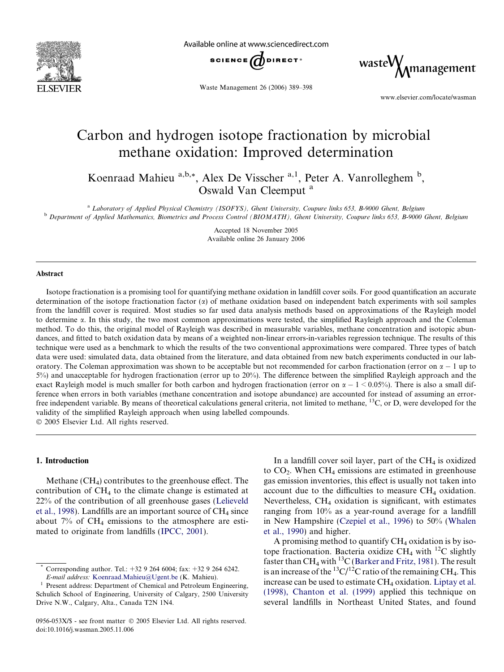

Available online at www.sciencedirect.com



Waste Management 26 (2006) 389–398

wasteW<sub>M</sub>management

www.elsevier.com/locate/wasman

# Carbon and hydrogen isotope fractionation by microbial methane oxidation: Improved determination

Koenraad Mahieu <sup>a,b,\*</sup>, Alex De Visscher <sup>a,1</sup>, Peter A. Vanrolleghem <sup>b</sup>, Oswald Van Cleemput<sup>a</sup>

<sup>a</sup> Laboratory of Applied Physical Chemistry (ISOFYS), Ghent University, Coupure links 653, B-9000 Ghent, Belgium <sup>b</sup> Department of Applied Mathematics, Biometrics and Process Control (BIOMATH), Ghent University, Coupure links 653, B-9000 Ghent, Belgium

> Accepted 18 November 2005 Available online 26 January 2006

#### Abstract

Isotope fractionation is a promising tool for quantifying methane oxidation in landfill cover soils. For good quantification an accurate determination of the isotope fractionation factor  $\alpha$  of methane oxidation based on independent batch experiments with soil samples from the landfill cover is required. Most studies so far used data analysis methods based on approximations of the Rayleigh model to determine  $\alpha$ . In this study, the two most common approximations were tested, the simplified Rayleigh approach and the Coleman method. To do this, the original model of Rayleigh was described in measurable variables, methane concentration and isotopic abundances, and fitted to batch oxidation data by means of a weighted non-linear errors-in-variables regression technique. The results of this technique were used as a benchmark to which the results of the two conventional approximations were compared. Three types of batch data were used: simulated data, data obtained from the literature, and data obtained from new batch experiments conducted in our laboratory. The Coleman approximation was shown to be acceptable but not recommended for carbon fractionation (error on  $\alpha - 1$  up to 5%) and unacceptable for hydrogen fractionation (error up to 20%). The difference between the simplified Rayleigh approach and the exact Rayleigh model is much smaller for both carbon and hydrogen fractionation (error on  $\alpha - 1 \le 0.05\%$ ). There is also a small difference when errors in both variables (methane concentration and isotope abundance) are accounted for instead of assuming an errorfree independent variable. By means of theoretical calculations general criteria, not limited to methane, 13C, or D, were developed for the validity of the simplified Rayleigh approach when using labelled compounds. 2005 Elsevier Ltd. All rights reserved.

#### 1. Introduction

Methane (CH4) contributes to the greenhouse effect. The contribution of  $CH<sub>4</sub>$  to the climate change is estimated at 22% of the contribution of all greenhouse gases [\(Lelieveld](#page-8-0) [et al., 1998](#page-8-0)). Landfills are an important source of  $CH<sub>4</sub>$  since about 7% of  $CH<sub>4</sub>$  emissions to the atmosphere are estimated to originate from landfills [\(IPCC, 2001](#page-8-0)).

In a landfill cover soil layer, part of the  $CH<sub>4</sub>$  is oxidized to  $CO<sub>2</sub>$ . When CH<sub>4</sub> emissions are estimated in greenhouse gas emission inventories, this effect is usually not taken into account due to the difficulties to measure  $CH<sub>4</sub>$  oxidation. Nevertheless, CH4 oxidation is significant, with estimates ranging from 10% as a year-round average for a landfill in New Hampshire [\(Czepiel et al., 1996\)](#page-8-0) to 50% ([Whalen](#page-9-0) [et al., 1990\)](#page-9-0) and higher.

A promising method to quantify  $CH_4$  oxidation is by isotope fractionation. Bacteria oxidize  $CH_4$  with <sup>12</sup>C slightly faster than  $CH_4$  with <sup>13</sup>C ([Barker and Fritz, 1981\)](#page-8-0). The result is an increase of the  ${}^{13}C/{}^{12}C$  ratio of the remaining CH<sub>4</sub>. This increase can be used to estimate CH<sub>4</sub> oxidation. [Liptay et al.](#page-8-0) [\(1998\), Chanton et al. \(1999\)](#page-8-0) applied this technique on several landfills in Northeast United States, and found

Corresponding author. Tel.: +32 9 264 6004; fax: +32 9 264 6242.

 $E$ -mail address: [Koenraad.Mahieu@Ugent.be](mailto:Koenraad.Mahieu@Ugent.be) (K. Mahieu).<br><sup>1</sup> Present address: Department of Chemical and Petroleum Engineering, Schulich School of Engineering, University of Calgary, 2500 University Drive N.W., Calgary, Alta., Canada T2N 1N4.

<sup>0956-053</sup>X/\$ - see front matter  $\odot$  2005 Elsevier Ltd. All rights reserved. doi:10.1016/j.wasman.2005.11.006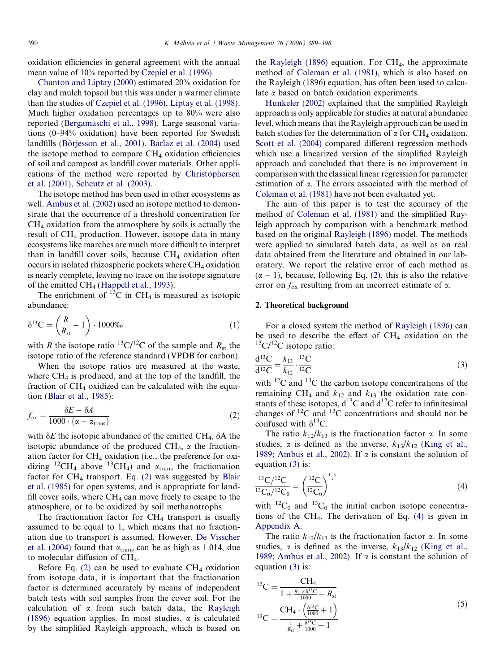<span id="page-1-0"></span>oxidation efficiencies in general agreement with the annual mean value of 10% reported by [Czepiel et al. \(1996\)](#page-8-0).

[Chanton and Liptay \(2000\)](#page-8-0) estimated 20% oxidation for clay and mulch topsoil but this was under a warmer climate than the studies of [Czepiel et al. \(1996\), Liptay et al. \(1998\)](#page-8-0). Much higher oxidation percentages up to 80% were also reported ([Bergamaschi et al., 1998\)](#page-8-0). Large seasonal variations (0–94% oxidation) have been reported for Swedish landfills (Börjesson et al., 2001). [Barlaz et al. \(2004\)](#page-8-0) used the isotope method to compare  $CH<sub>4</sub>$  oxidation efficiencies of soil and compost as landfill cover materials. Other applications of the method were reported by [Christophersen](#page-8-0) [et al. \(2001\), Scheutz et al. \(2003\).](#page-8-0)

The isotope method has been used in other ecosystems as well. [Ambus et al. \(2002\)](#page-8-0) used an isotope method to demonstrate that the occurrence of a threshold concentration for  $CH<sub>4</sub>$  oxidation from the atmosphere by soils is actually the result of CH<sub>4</sub> production. However, isotope data in many ecosystems like marches are much more difficult to interpret than in landfill cover soils, because CH<sub>4</sub> oxidation often occurs in isolated rhizospheric pockets where  $CH_4$  oxidation is nearly complete, leaving no trace on the isotope signature of the emitted CH<sub>4</sub> ([Happell et al., 1993](#page-8-0)).

The enrichment of  $^{13}$ C in CH<sub>4</sub> is measured as isotopic abundance:

$$
\delta^{13}\mathbf{C} = \left(\frac{R}{R_{\rm st}} - 1\right) \cdot 1000\%o\tag{1}
$$

with R the isotope ratio <sup>13</sup>C/<sup>12</sup>C of the sample and  $R_{\rm st}$  the isotope ratio of the reference standard (VPDB for carbon).

When the isotope ratios are measured at the waste, where  $CH_4$  is produced, and at the top of the landfill, the fraction of  $CH<sub>4</sub>$  oxidized can be calculated with the equation [\(Blair et al., 1985](#page-8-0)):

$$
f_{\text{ox}} = \frac{\delta E - \delta A}{1000 \cdot (\alpha - \alpha_{\text{trans}})}
$$
(2)

with  $\delta E$  the isotopic abundance of the emitted CH<sub>4</sub>,  $\delta A$  the isotopic abundance of the produced  $CH_4$ ,  $\alpha$  the fractionation factor for  $CH_4$  oxidation (i.e., the preference for oxidizing <sup>12</sup>CH<sub>4</sub> above <sup>13</sup>CH<sub>4</sub>) and  $\alpha_{trans}$  the fractionation factor for  $CH_4$  transport. Eq. (2) was suggested by [Blair](#page-8-0) [et al. \(1985\)](#page-8-0) for open systems, and is appropriate for landfill cover soils, where  $CH_4$  can move freely to escape to the atmosphere, or to be oxidized by soil methanotrophs.

The fractionation factor for  $CH<sub>4</sub>$  transport is usually assumed to be equal to 1, which means that no fractionation due to transport is assumed. However, [De Visscher](#page-8-0) [et al. \(2004\)](#page-8-0) found that  $\alpha_{trans}$  can be as high as 1.014, due to molecular diffusion of CH4.

Before Eq. (2) can be used to evaluate  $CH<sub>4</sub>$  oxidation from isotope data, it is important that the fractionation factor is determined accurately by means of independent batch tests with soil samples from the cover soil. For the calculation of  $\alpha$  from such batch data, the [Rayleigh](#page-9-0) [\(1896\)](#page-9-0) equation applies. In most studies,  $\alpha$  is calculated by the simplified Rayleigh approach, which is based on the [Rayleigh \(1896\)](#page-9-0) equation. For  $CH<sub>4</sub>$ , the approximate method of [Coleman et al. \(1981\)](#page-8-0), which is also based on the Rayleigh (1896) equation, has often been used to calculate  $\alpha$  based on batch oxidation experiments.

[Hunkeler \(2002\)](#page-8-0) explained that the simplified Rayleigh approach is only applicable for studies at natural abundance level, which means that the Rayleigh approach can be used in batch studies for the determination of  $\alpha$  for CH<sub>4</sub> oxidation. [Scott et al. \(2004\)](#page-9-0) compared different regression methods which use a linearized version of the simplified Rayleigh approach and concluded that there is no improvement in comparison with the classical linear regression for parameter estimation of  $\alpha$ . The errors associated with the method of [Coleman et al. \(1981\)](#page-8-0) have not been evaluated yet.

The aim of this paper is to test the accuracy of the method of [Coleman et al. \(1981\)](#page-8-0) and the simplified Rayleigh approach by comparison with a benchmark method based on the original [Rayleigh \(1896\)](#page-9-0) model. The methods were applied to simulated batch data, as well as on real data obtained from the literature and obtained in our laboratory. We report the relative error of each method as  $(\alpha - 1)$ , because, following Eq. (2), this is also the relative error on  $f_{\text{ox}}$  resulting from an incorrect estimate of  $\alpha$ .

# 2. Theoretical background

For a closed system the method of [Rayleigh \(1896\)](#page-9-0) can be used to describe the effect of  $CH<sub>4</sub>$  oxidation on the  ${}^{13}C/{}^{12}C$  isotope ratio:

$$
\frac{d^{13}C}{d^{12}C} = \frac{k_{13}}{k_{12}} \cdot \frac{^{13}C}{^{12}C}
$$
 (3)

with  $^{12}$ C and  $^{13}$ C the carbon isotope concentrations of the remaining CH<sub>4</sub> and  $k_{12}$  and  $k_{13}$  the oxidation rate constants of these isotopes,  $d^{13}C$  and  $d^{12}C$  refer to infinitesimal changes of  ${}^{12}C$  and  ${}^{13}C$  concentrations and should not be confused with  $\delta^{13}$ C.

The ratio  $k_{12}/k_{13}$  is the fractionation factor  $\alpha$ . In some studies,  $\alpha$  is defined as the inverse,  $k_{13}/k_{12}$  ([King et al.,](#page-8-0) [1989; Ambus et al., 2002](#page-8-0)). If  $\alpha$  is constant the solution of equation (3) is:

$$
\frac{^{13}C/^{12}C}{^{13}C_0/^{12}C_0} = \left(\frac{^{12}C}{^{12}C_0}\right)^{\frac{1-z}{z}}
$$
(4)

with  ${}^{12}C_0$  and  ${}^{13}C_0$  the initial carbon isotope concentrations of the  $CH_4$ . The derivation of Eq. (4) is given in Appendix A.

The ratio  $k_{12}/k_{13}$  is the fractionation factor  $\alpha$ . In some studies,  $\alpha$  is defined as the inverse,  $k_{13}/k_{12}$  ([King et al.,](#page-8-0) [1989; Ambus et al., 2002](#page-8-0)). If  $\alpha$  is constant the solution of equation (3) is:

$$
{}^{12}\text{C} = \frac{\text{CH}_4}{1 + \frac{R_{\text{st}} \times \delta^{13}\text{C}}{1000} + R_{\text{st}}}
$$
  

$$
{}^{13}\text{C} = \frac{\text{CH}_4 \cdot \left(\frac{\delta^{13}\text{C}}{1000} + 1\right)}{\frac{1}{R_{\text{st}}} + \frac{\delta^{13}\text{C}}{1000} + 1}
$$
 (5)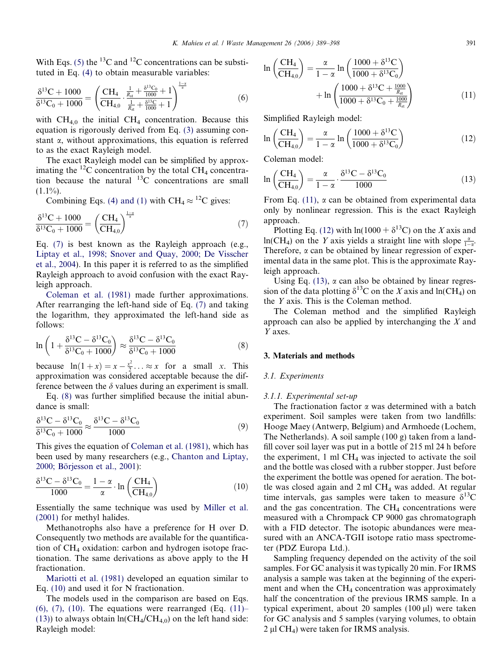<span id="page-2-0"></span>With Eqs. [\(5\)](#page-1-0) the <sup>13</sup>C and <sup>12</sup>C concentrations can be substituted in Eq. [\(4\)](#page-1-0) to obtain measurable variables:

$$
\frac{\delta^{13}C + 1000}{\delta^{13}C_0 + 1000} = \left(\frac{CH_4}{CH_{4,0}} \cdot \frac{\frac{1}{R_{st}} + \frac{\delta^{13}C_0}{1000} + 1}{\frac{1}{R_{st}} + \frac{\delta^{13}C}{1000} + 1}\right)^{\frac{1-x}{\alpha}}
$$
(6)

with  $CH_{4,0}$  the initial  $CH_4$  concentration. Because this equation is rigorously derived from Eq. [\(3\)](#page-1-0) assuming constant  $\alpha$ , without approximations, this equation is referred to as the exact Rayleigh model.

The exact Rayleigh model can be simplified by approximating the  $^{12}$ C concentration by the total CH<sub>4</sub> concentration because the natural  $^{13}$ C concentrations are small  $(1.1\%)$ .

Combining Eqs. [\(4\) and \(1\)](#page-1-0) with CH<sub>4</sub>  $\approx$  <sup>12</sup>C gives:

$$
\frac{\delta^{13}C + 1000}{\delta^{13}C_0 + 1000} = \left(\frac{CH_4}{CH_{4,0}}\right)^{\frac{1-\alpha}{\alpha}}
$$
(7)

Eq. (7) is best known as the Rayleigh approach (e.g., [Liptay et al., 1998; Snover and Quay, 2000; De Visscher](#page-8-0) [et al., 2004\)](#page-8-0). In this paper it is referred to as the simplified Rayleigh approach to avoid confusion with the exact Rayleigh approach.

[Coleman et al. \(1981\)](#page-8-0) made further approximations. After rearranging the left-hand side of Eq. (7) and taking the logarithm, they approximated the left-hand side as follows:

$$
\ln\left(1+\frac{\delta^{13}\mathbf{C}-\delta^{13}\mathbf{C}_0}{\delta^{13}\mathbf{C}_0+1000}\right) \approx \frac{\delta^{13}\mathbf{C}-\delta^{13}\mathbf{C}_0}{\delta^{13}\mathbf{C}_0+1000}
$$
 (8)

because  $\ln(1+x) = x - \frac{x^2}{2} \dots \approx x$  for a small x. This approximation was considered acceptable because the difference between the  $\delta$  values during an experiment is small.

Eq. (8) was further simplified because the initial abundance is small:

$$
\frac{\delta^{13}C - \delta^{13}C_0}{\delta^{13}C_0 + 1000} \approx \frac{\delta^{13}C - \delta^{13}C_0}{1000}
$$
 (9)

This gives the equation of [Coleman et al. \(1981\),](#page-8-0) which has been used by many researchers (e.g., [Chanton and Liptay,](#page-8-0) 2000; Börjesson et al., 2001):

$$
\frac{\delta^{13}C - \delta^{13}C_0}{1000} = \frac{1 - \alpha}{\alpha} \cdot \ln\left(\frac{CH_4}{CH_{4,0}}\right)
$$
(10)

Essentially the same technique was used by [Miller et al.](#page-8-0) [\(2001\)](#page-8-0) for methyl halides.

Methanotrophs also have a preference for H over D. Consequently two methods are available for the quantification of CH4 oxidation: carbon and hydrogen isotope fractionation. The same derivations as above apply to the H fractionation.

[Mariotti et al. \(1981\)](#page-8-0) developed an equation similar to Eq. (10) and used it for N fractionation.

The models used in the comparison are based on Eqs.  $(6)$ ,  $(7)$ ,  $(10)$ . The equations were rearranged  $(Eq. (11)$ – (13)) to always obtain  $ln(CH_4/CH_{4,0})$  on the left hand side: Rayleigh model:

$$
\ln\left(\frac{CH_4}{CH_{4,0}}\right) = \frac{\alpha}{1-\alpha} \ln\left(\frac{1000 + \delta^{13}C}{1000 + \delta^{13}C_0}\right) + \ln\left(\frac{1000 + \delta^{13}C + \frac{1000}{R_{st}}}{1000 + \delta^{13}C_0 + \frac{1000}{R_{st}}}\right)
$$
(11)

Simplified Rayleigh model:

$$
\ln\left(\frac{\text{CH}_4}{\text{CH}_{4,0}}\right) = \frac{\alpha}{1-\alpha} \ln\left(\frac{1000 + \delta^{13}\text{C}}{1000 + \delta^{13}\text{C}_0}\right) \tag{12}
$$

Coleman model:

$$
\ln\left(\frac{\text{CH}_4}{\text{CH}_{4,0}}\right) = \frac{\alpha}{1-\alpha} \cdot \frac{\delta^{13}\text{C} - \delta^{13}\text{C}_0}{1000} \tag{13}
$$

From Eq. (11),  $\alpha$  can be obtained from experimental data only by nonlinear regression. This is the exact Rayleigh approach.

Plotting Eq. (12) with ln(1000 +  $\delta^{13}$ C) on the X axis and  $ln(CH_4)$  on the Y axis yields a straight line with slope  $\frac{\alpha}{1-\alpha}$ . Therefore,  $\alpha$  can be obtained by linear regression of experimental data in the same plot. This is the approximate Rayleigh approach.

Using Eq.  $(13)$ ,  $\alpha$  can also be obtained by linear regression of the data plotting  $\delta^{13}$ C on the X axis and ln(CH<sub>4</sub>) on the Y axis. This is the Coleman method.

The Coleman method and the simplified Rayleigh approach can also be applied by interchanging the  $X$  and Y axes.

# 3. Materials and methods

# 3.1. Experiments

## 3.1.1. Experimental set-up

The fractionation factor  $\alpha$  was determined with a batch experiment. Soil samples were taken from two landfills: Hooge Maey (Antwerp, Belgium) and Armhoede (Lochem, The Netherlands). A soil sample (100 g) taken from a landfill cover soil layer was put in a bottle of 215 ml 24 h before the experiment, 1 ml  $CH<sub>4</sub>$  was injected to activate the soil and the bottle was closed with a rubber stopper. Just before the experiment the bottle was opened for aeration. The bottle was closed again and  $2 \text{ ml } CH_4$  was added. At regular time intervals, gas samples were taken to measure  $\delta^{13}C$ and the gas concentration. The  $CH<sub>4</sub>$  concentrations were measured with a Chrompack CP 9000 gas chromatograph with a FID detector. The isotopic abundances were measured with an ANCA-TGII isotope ratio mass spectrometer (PDZ Europa Ltd.).

Sampling frequency depended on the activity of the soil samples. For GC analysis it was typically 20 min. For IRMS analysis a sample was taken at the beginning of the experiment and when the  $CH<sub>4</sub>$  concentration was approximately half the concentration of the previous IRMS sample. In a typical experiment, about 20 samples  $(100 \mu l)$  were taken for GC analysis and 5 samples (varying volumes, to obtain 2 µl CH<sub>4</sub>) were taken for IRMS analysis.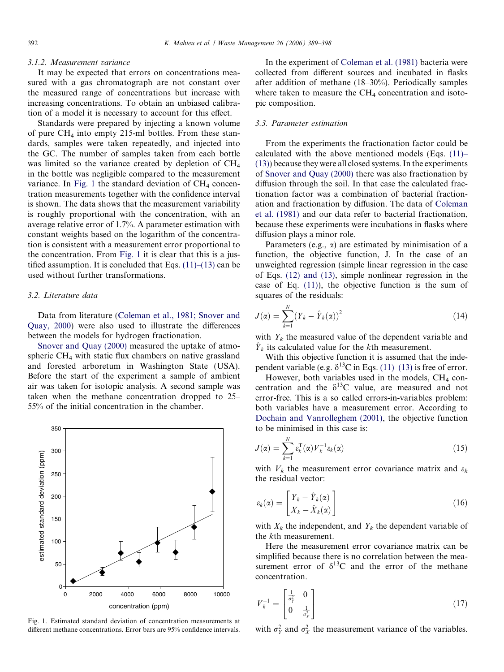## 3.1.2. Measurement variance

It may be expected that errors on concentrations measured with a gas chromatograph are not constant over the measured range of concentrations but increase with increasing concentrations. To obtain an unbiased calibration of a model it is necessary to account for this effect.

Standards were prepared by injecting a known volume of pure  $CH_4$  into empty 215-ml bottles. From these standards, samples were taken repeatedly, and injected into the GC. The number of samples taken from each bottle was limited so the variance created by depletion of  $CH<sub>4</sub>$ in the bottle was negligible compared to the measurement variance. In Fig. 1 the standard deviation of  $CH<sub>4</sub>$  concentration measurements together with the confidence interval is shown. The data shows that the measurement variability is roughly proportional with the concentration, with an average relative error of 1.7%. A parameter estimation with constant weights based on the logarithm of the concentration is consistent with a measurement error proportional to the concentration. From Fig. 1 it is clear that this is a justified assumption. It is concluded that Eqs.  $(11)$ – $(13)$  can be used without further transformations.

# 3.2. Literature data

Data from literature [\(Coleman et al., 1981; Snover and](#page-8-0) [Quay, 2000\)](#page-8-0) were also used to illustrate the differences between the models for hydrogen fractionation.

[Snover and Quay \(2000\)](#page-9-0) measured the uptake of atmospheric CH4 with static flux chambers on native grassland and forested arboretum in Washington State (USA). Before the start of the experiment a sample of ambient air was taken for isotopic analysis. A second sample was taken when the methane concentration dropped to 25– 55% of the initial concentration in the chamber.



Fig. 1. Estimated standard deviation of concentration measurements at different methane concentrations. Error bars are 95% confidence intervals.

In the experiment of [Coleman et al. \(1981\)](#page-8-0) bacteria were collected from different sources and incubated in flasks after addition of methane (18–30%). Periodically samples where taken to measure the  $CH_4$  concentration and isotopic composition.

## 3.3. Parameter estimation

From the experiments the fractionation factor could be calculated with the above mentioned models (Eqs.  $(11)$ – [\(13\)](#page-2-0)) because they were all closed systems. In the experiments of [Snover and Quay \(2000\)](#page-9-0) there was also fractionation by diffusion through the soil. In that case the calculated fractionation factor was a combination of bacterial fractionation and fractionation by diffusion. The data of [Coleman](#page-8-0) [et al. \(1981\)](#page-8-0) and our data refer to bacterial fractionation, because these experiments were incubations in flasks where diffusion plays a minor role.

Parameters (e.g.,  $\alpha$ ) are estimated by minimisation of a function, the objective function, J. In the case of an unweighted regression (simple linear regression in the case of Eqs. [\(12\) and \(13\),](#page-2-0) simple nonlinear regression in the case of Eq.  $(11)$ , the objective function is the sum of squares of the residuals:

$$
J(\alpha) = \sum_{k=1}^{N} (Y_k - \hat{Y}_k(\alpha))^2
$$
 (14)

with  $Y_k$  the measured value of the dependent variable and  $\hat{Y}_k$  its calculated value for the kth measurement.

With this objective function it is assumed that the independent variable (e.g.  $\delta^{13}$ C in Eqs. [\(11\)–\(13\)](#page-2-0) is free of error.

However, both variables used in the models,  $CH<sub>4</sub>$  concentration and the  $\delta^{13}$ C value, are measured and not error-free. This is a so called errors-in-variables problem: both variables have a measurement error. According to [Dochain and Vanrolleghem \(2001\)](#page-8-0), the objective function to be minimised in this case is:

$$
J(\alpha) = \sum_{k=1}^{N} \varepsilon_k^{\mathrm{T}}(\alpha) V_k^{-1} \varepsilon_k(\alpha) \tag{15}
$$

with  $V_k$  the measurement error covariance matrix and  $\varepsilon_k$ the residual vector:

$$
\varepsilon_k(\alpha) = \begin{bmatrix} Y_k - \hat{Y}_k(\alpha) \\ X_k - \hat{X}_k(\alpha) \end{bmatrix}
$$
 (16)

with  $X_k$  the independent, and  $Y_k$  the dependent variable of the kth measurement.

Here the measurement error covariance matrix can be simplified because there is no correlation between the measurement error of  $\delta^{13}$ C and the error of the methane concentration.

$$
V_k^{-1} = \begin{bmatrix} \frac{1}{\sigma_Y^2} & 0\\ 0 & \frac{1}{\sigma_X^2} \end{bmatrix} \tag{17}
$$

with  $\sigma_Y^2$  and  $\sigma_X^2$  the measurement variance of the variables.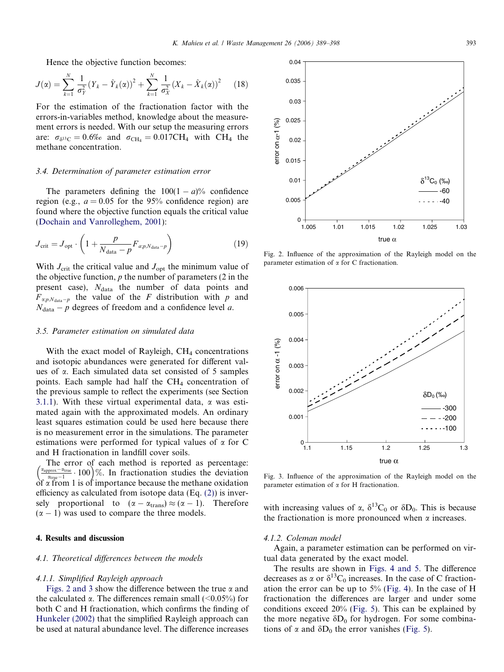<span id="page-4-0"></span>Hence the objective function becomes:

$$
J(\alpha) = \sum_{k=1}^{N} \frac{1}{\sigma_Y^2} (Y_k - \hat{Y}_k(\alpha))^2 + \sum_{k=1}^{N} \frac{1}{\sigma_X^2} (X_k - \hat{X}_k(\alpha))^2
$$
 (18)

For the estimation of the fractionation factor with the errors-in-variables method, knowledge about the measurement errors is needed. With our setup the measuring errors are:  $\sigma_{\delta^{13}C} = 0.6\%$  and  $\sigma_{CH_4} = 0.017CH_4$  with CH<sub>4</sub> the methane concentration.

## 3.4. Determination of parameter estimation error

The parameters defining the  $100(1 - a)\%$  confidence region (e.g.,  $a = 0.05$  for the 95% confidence region) are found where the objective function equals the critical value ([Dochain and Vanrolleghem, 2001](#page-8-0)):

$$
J_{\rm crit} = J_{\rm opt} \cdot \left( 1 + \frac{p}{N_{\rm data} - p} F_{a;p,N_{\rm data} - p} \right) \tag{19}
$$

With  $J_{\text{crit}}$  the critical value and  $J_{\text{opt}}$  the minimum value of the objective function,  $p$  the number of parameters  $(2 \text{ in the})$ present case),  $N_{data}$  the number of data points and  $F_{\alpha,p,N_{data}-p}$  the value of the F distribution with p and  $N_{data} - p$  degrees of freedom and a confidence level a.

#### 3.5. Parameter estimation on simulated data

With the exact model of Rayleigh,  $CH<sub>4</sub>$  concentrations and isotopic abundances were generated for different values of a. Each simulated data set consisted of 5 samples points. Each sample had half the  $CH<sub>4</sub>$  concentration of the previous sample to reflect the experiments (see Section [3.1.1\)](#page-2-0). With these virtual experimental data,  $\alpha$  was estimated again with the approximated models. An ordinary least squares estimation could be used here because there is no measurement error in the simulations. The parameter estimations were performed for typical values of  $\alpha$  for C and H fractionation in landfill cover soils.

The error of each method is reported as percentage: The error of each method is reported as percentage:<br> $\left(\frac{\alpha_{\text{approx}}-\alpha_{\text{true}}}{\alpha_{\text{true}}-1}\cdot 100\right)\%$ . In fractionation studies the deviation  $\delta f \propto \tilde{f}$  from 1 is of importance because the methane oxidation efficiency as calculated from isotope data (Eq. [\(2\)](#page-1-0)) is inversely proportional to  $(\alpha - \alpha_{trans}) \approx (\alpha - 1)$ . Therefore  $(\alpha - 1)$  was used to compare the three models.

# 4. Results and discussion

# 4.1. Theoretical differences between the models

## 4.1.1. Simplified Rayleigh approach

Figs. 2 and 3 show the difference between the true  $\alpha$  and the calculated  $\alpha$ . The differences remain small (<0.05%) for both C and H fractionation, which confirms the finding of [Hunkeler \(2002\)](#page-8-0) that the simplified Rayleigh approach can be used at natural abundance level. The difference increases



Fig. 2. Influence of the approximation of the Rayleigh model on the parameter estimation of  $\alpha$  for C fractionation.



Fig. 3. Influence of the approximation of the Rayleigh model on the parameter estimation of  $\alpha$  for H fractionation.

with increasing values of  $\alpha$ ,  $\delta^{13}C_0$  or  $\delta D_0$ . This is because the fractionation is more pronounced when  $\alpha$  increases.

## 4.1.2. Coleman model

Again, a parameter estimation can be performed on virtual data generated by the exact model.

The results are shown in [Figs. 4 and 5.](#page-5-0) The difference decreases as  $\alpha$  or  $\delta^{13}C_0$  increases. In the case of C fractionation the error can be up to  $5\%$  ([Fig. 4](#page-5-0)). In the case of H fractionation the differences are larger and under some conditions exceed 20% ([Fig. 5\)](#page-5-0). This can be explained by the more negative  $\delta D_0$  for hydrogen. For some combinations of  $\alpha$  and  $\delta D_0$  the error vanishes ([Fig. 5\)](#page-5-0).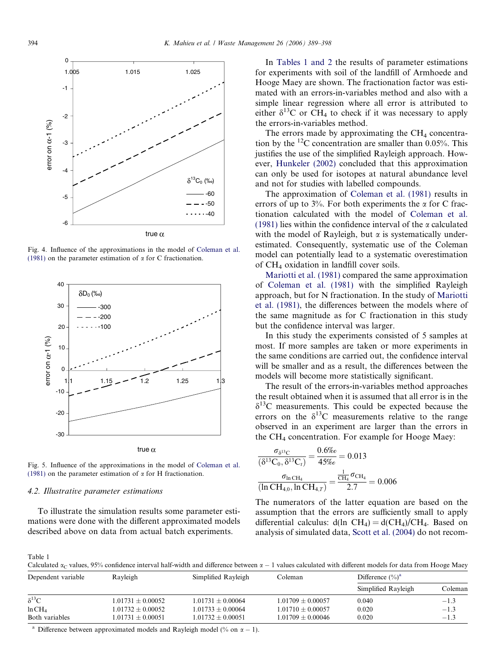<span id="page-5-0"></span>

Fig. 4. Influence of the approximations in the model of [Coleman et al.](#page-8-0) [\(1981\)](#page-8-0) on the parameter estimation of  $\alpha$  for C fractionation.



Fig. 5. Influence of the approximations in the model of [Coleman et al.](#page-8-0) [\(1981\)](#page-8-0) on the parameter estimation of  $\alpha$  for H fractionation.

# 4.2. Illustrative parameter estimations

To illustrate the simulation results some parameter estimations were done with the different approximated models described above on data from actual batch experiments.

In Tables 1 and 2 the results of parameter estimations for experiments with soil of the landfill of Armhoede and Hooge Maey are shown. The fractionation factor was estimated with an errors-in-variables method and also with a simple linear regression where all error is attributed to either  $\delta^{13}$ C or CH<sub>4</sub> to check if it was necessary to apply the errors-in-variables method.

The errors made by approximating the  $CH<sub>4</sub>$  concentration by the  $^{12}$ C concentration are smaller than 0.05%. This justifies the use of the simplified Rayleigh approach. However, [Hunkeler \(2002\)](#page-8-0) concluded that this approximation can only be used for isotopes at natural abundance level and not for studies with labelled compounds.

The approximation of [Coleman et al. \(1981\)](#page-8-0) results in errors of up to  $3\%$ . For both experiments the  $\alpha$  for C fractionation calculated with the model of [Coleman et al.](#page-8-0) [\(1981\)](#page-8-0) lies within the confidence interval of the  $\alpha$  calculated with the model of Rayleigh, but  $\alpha$  is systematically underestimated. Consequently, systematic use of the Coleman model can potentially lead to a systematic overestimation of CH4 oxidation in landfill cover soils.

[Mariotti et al. \(1981\)](#page-8-0) compared the same approximation of [Coleman et al. \(1981\)](#page-8-0) with the simplified Rayleigh approach, but for N fractionation. In the study of [Mariotti](#page-8-0) [et al. \(1981\),](#page-8-0) the differences between the models where of the same magnitude as for C fractionation in this study but the confidence interval was larger.

In this study the experiments consisted of 5 samples at most. If more samples are taken or more experiments in the same conditions are carried out, the confidence interval will be smaller and as a result, the differences between the models will become more statistically significant.

The result of the errors-in-variables method approaches the result obtained when it is assumed that all error is in the  $\delta^{13}$ C measurements. This could be expected because the errors on the  $\delta^{13}$ C measurements relative to the range observed in an experiment are larger than the errors in the CH4 concentration. For example for Hooge Maey:

$$
\frac{\sigma_{\delta^{13}C}}{(\delta^{13}C_0, \delta^{13}C_t)} = \frac{0.6\%}{45\%} = 0.013
$$

$$
\frac{\sigma_{\text{ln CH}_4}}{(\ln \text{CH}_{4,0}, \ln \text{CH}_{4,7})} = \frac{\frac{1}{\text{CH}_4} \sigma_{\text{CH}_4}}{2.7} = 0.006
$$

The numerators of the latter equation are based on the assumption that the errors are sufficiently small to apply differential calculus:  $d(ln \ CH_4) = d(CH_4)/CH_4$ . Based on analysis of simulated data, [Scott et al. \(2004\)](#page-9-0) do not recom-

Table 1

Calculated  $\alpha_c$  values, 95% confidence interval half-width and difference between  $\alpha - 1$  values calculated with different models for data from Hooge Maey

| Rayleigh<br>Simplified Rayleigh<br>Dependent variable |                       |                     | Coleman             | Difference $(\%)^a$ |         |
|-------------------------------------------------------|-----------------------|---------------------|---------------------|---------------------|---------|
|                                                       |                       |                     |                     | Simplified Rayleigh | Coleman |
| $\delta^{13}C$                                        | $1.01731 \pm 0.00052$ | $1.01731 + 0.00064$ | $1.01709 + 0.00057$ | 0.040               | $-1.3$  |
| ln CH <sub>4</sub>                                    | $1.01732 \pm 0.00052$ | $1.01733 + 0.00064$ | $1.01710 + 0.00057$ | 0.020               | $-1.3$  |
| Both variables                                        | $1.01731 \pm 0.00051$ | $1.01732 + 0.00051$ | $0.01709 + 0.00046$ | 0.020               | $-1.3$  |

<sup>a</sup> Difference between approximated models and Rayleigh model (% on  $\alpha - 1$ ).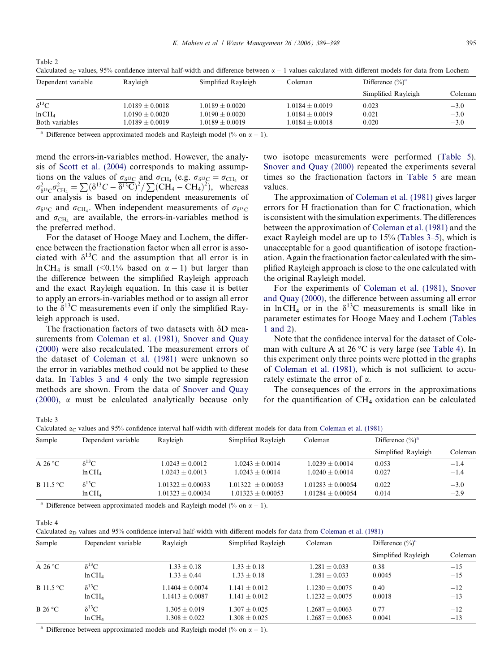| Dependent variable | Rayleigh            | Simplified Rayleigh | Coleman             | Difference $(\% )^a$ |         |
|--------------------|---------------------|---------------------|---------------------|----------------------|---------|
|                    |                     |                     |                     | Simplified Rayleigh  | Coleman |
| $\delta^{13}C$     | $1.0189 \pm 0.0018$ | $1.0189 + 0.0020$   | $1.0184 + 0.0019$   | 0.023                | $-3.0$  |
| ln CH <sub>4</sub> | $0.0190 \pm 0.0020$ | $1.0190 \pm 0.0020$ | $1.0184 \pm 0.0019$ | 0.021                | $-3.0$  |
| Both variables     | $0.0189 \pm 0.0019$ | $1.0189 + 0.0019$   | $1.0184 \pm 0.0018$ | 0.020                | $-3.0$  |

Calculated  $\alpha_C$  values, 95% confidence interval half-width and difference between  $\alpha = 1$  values calculated with different models for data from Lochem

Difference between approximated models and Rayleigh model (% on  $\alpha - 1$ ).

mend the errors-in-variables method. However, the analysis of [Scott et al. \(2004\)](#page-9-0) corresponds to making assumptions on the values of  $\sigma_{\delta^{13}C}$  and  $\sigma_{CH_4}$  (e.g.  $\sigma_{\delta^{13}C} = \sigma_{CH_4}$  or  $\sigma_{\delta^{13}C}^2 \sigma_{\text{CH}_4}^2 = \sum (\delta^{13}C - \overline{\delta^{13}C})^2 / \sum (\text{CH}_4 - \overline{\text{CH}_4})^2$ , whereas our analysis is based on independent measurements of  $\sigma_{\delta^{13}C}$  and  $\sigma_{CH_4}$ . When independent measurements of  $\sigma_{\delta^{13}C}$ and  $\sigma_{\text{CH}_4}$  are available, the errors-in-variables method is the preferred method.

For the dataset of Hooge Maey and Lochem, the difference between the fractionation factor when all error is associated with  $\delta^{13}$ C and the assumption that all error is in ln CH<sub>4</sub> is small (<0.1% based on  $\alpha - 1$ ) but larger than the difference between the simplified Rayleigh approach and the exact Rayleigh equation. In this case it is better to apply an errors-in-variables method or to assign all error to the  $\delta^{13}$ C measurements even if only the simplified Rayleigh approach is used.

The fractionation factors of two datasets with  $\delta$ D mea-surements from [Coleman et al. \(1981\), Snover and Quay](#page-8-0) [\(2000\)](#page-8-0) were also recalculated. The measurement errors of the dataset of [Coleman et al. \(1981\)](#page-8-0) were unknown so the error in variables method could not be applied to these data. In Tables 3 and 4 only the two simple regression methods are shown. From the data of [Snover and Quay](#page-9-0) [\(2000\)](#page-9-0), a must be calculated analytically because only

two isotope measurements were performed [\(Table 5\)](#page-7-0). [Snover and Quay \(2000\)](#page-9-0) repeated the experiments several times so the fractionation factors in [Table 5](#page-7-0) are mean values.

The approximation of [Coleman et al. \(1981\)](#page-8-0) gives larger errors for H fractionation than for C fractionation, which is consistent with the simulation experiments. The differences between the approximation of [Coleman et al. \(1981\)](#page-8-0) and the exact Rayleigh model are up to 15% (Tables 3–5), which is unacceptable for a good quantification of isotope fractionation. Again the fractionation factor calculated with the simplified Rayleigh approach is close to the one calculated with the original Rayleigh model.

For the experiments of [Coleman et al. \(1981\), Snover](#page-8-0) [and Quay \(2000\)](#page-8-0), the difference between assuming all error in ln CH<sub>4</sub> or in the  $\delta^{13}$ C measurements is small like in parameter estimates for Hooge Maey and Lochem ([Tables](#page-5-0) [1 and 2](#page-5-0)).

Note that the confidence interval for the dataset of Coleman with culture A at 26  $\mathrm{^{\circ}C}$  is very large (see Table 4). In this experiment only three points were plotted in the graphs of [Coleman et al. \(1981\),](#page-8-0) which is not sufficient to accurately estimate the error of a.

The consequences of the errors in the approximations for the quantification of  $CH<sub>4</sub>$  oxidation can be calculated

Table 3

Table 2

Calculated  $\alpha_C$  values and 95% confidence interval half-width with different models for data from [Coleman et al. \(1981\)](#page-8-0)

| Sample                    | Dependent variable | Rayleigh            | Simplified Rayleigh | Coleman             | Difference $(\%)^a$ |         |
|---------------------------|--------------------|---------------------|---------------------|---------------------|---------------------|---------|
|                           |                    |                     |                     |                     | Simplified Rayleigh | Coleman |
| A 26 $\mathrm{^{\circ}C}$ | $\delta^{13}$ C    | $1.0243 + 0.0012$   | $1.0243 + 0.0014$   | $1.0239 + 0.0014$   | 0.053               | $-1.4$  |
|                           | ln CH <sub>4</sub> | $1.0243 + 0.0013$   | $1.0243 + 0.0014$   | $1.0240 + 0.0014$   | 0.027               | $-1.4$  |
| B 11.5 $\degree$ C        | $\delta^{13}$ C    | $1.01322 + 0.00033$ | $1.01322 + 0.00053$ | $1.01283 + 0.00054$ | 0.022               | $-3.0$  |
|                           | ln CH <sub>4</sub> | $1.01323 + 0.00034$ | $1.01323 + 0.00053$ | $1.01284 + 0.00054$ | 0.014               | $-2.9$  |

<sup>a</sup> Difference between approximated models and Rayleigh model (% on  $\alpha - 1$ ).

Table 4

| Calculated $\alpha_D$ values and 95% confidence interval half-width with different models for data from Coleman et al. (1981) |  |
|-------------------------------------------------------------------------------------------------------------------------------|--|
|-------------------------------------------------------------------------------------------------------------------------------|--|

| Dependent variable | Rayleigh          | Simplified Rayleigh | Coleman             | Difference $(\%)^a$ |         |
|--------------------|-------------------|---------------------|---------------------|---------------------|---------|
|                    |                   |                     |                     | Simplified Rayleigh | Coleman |
| $\delta^{13}C$     | $1.33 + 0.18$     | $1.33 \pm 0.18$     | $1.281 \pm 0.033$   | 0.38                | $-15$   |
| ln CH <sub>4</sub> | $1.33 + 0.44$     | $1.33 + 0.18$       | $1.281 + 0.033$     | 0.0045              | $-15$   |
| $\delta^{13}C$     | $1.1404 + 0.0074$ | $1.141 + 0.012$     | $1.1230 + 0.0075$   | 0.40                | $-12$   |
| ln CH <sub>4</sub> | $1.1413 + 0.0087$ | $1.141 + 0.012$     | $1.1232 + 0.0075$   | 0.0018              | $-13$   |
| $\delta^{13}C$     | $.305 + 0.019$    | $1.307 + 0.025$     | $1.2687 + 0.0063$   | 0.77                | $-12$   |
| ln CH <sub>4</sub> | $.308 \pm 0.022$  | $1.308 \pm 0.025$   | $1.2687 \pm 0.0063$ | 0.0041              | $-13$   |
|                    |                   |                     |                     |                     |         |

<sup>a</sup> Difference between approximated models and Rayleigh model (% on  $\alpha - 1$ ).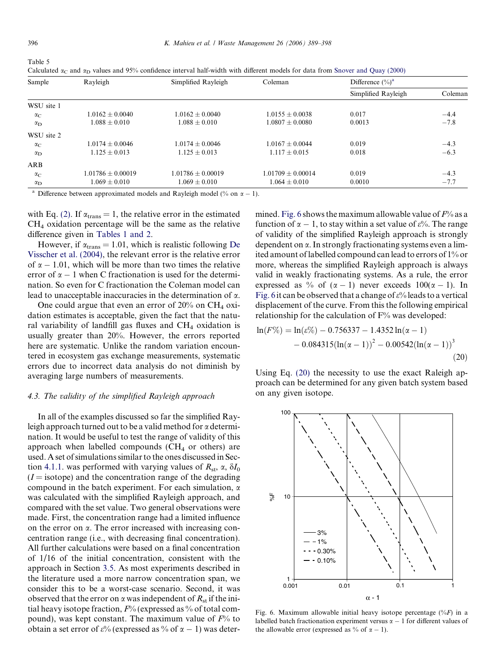<span id="page-7-0"></span>

| ۰. |  | c |  |
|----|--|---|--|
|----|--|---|--|

Calculated  $\alpha_C$  and  $\alpha_D$  values and 95% confidence interval half-width with different models for data from Snover and Ouay (2000)

| Sample           | Rayleigh            | Simplified Rayleigh | Coleman             | Difference $(\% )^a$ |         |
|------------------|---------------------|---------------------|---------------------|----------------------|---------|
|                  |                     |                     |                     | Simplified Rayleigh  | Coleman |
| WSU site 1       |                     |                     |                     |                      |         |
| $\alpha_{\rm C}$ | $1.0162 + 0.0040$   | $1.0162 + 0.0040$   | $1.0155 + 0.0038$   | 0.017                | $-4.4$  |
| $\alpha_{\rm D}$ | $1.088 + 0.010$     | $1.088 + 0.010$     | $1.0807 + 0.0080$   | 0.0013               | $-7.8$  |
| WSU site 2       |                     |                     |                     |                      |         |
| $\alpha_C$       | $1.0174 + 0.0046$   | $1.0174 + 0.0046$   | $1.0167 + 0.0044$   | 0.019                | $-4.3$  |
| $\alpha_{\rm D}$ | $1.125 + 0.013$     | $1.125 + 0.013$     | $1.117 + 0.015$     | 0.018                | $-6.3$  |
| ARB              |                     |                     |                     |                      |         |
| $\alpha_C$       | $1.01786 + 0.00019$ | $1.01786 + 0.00019$ | $1.01709 + 0.00014$ | 0.019                | $-4.3$  |
| $\alpha_{\rm D}$ | $1.069 \pm 0.010$   | $1.069 \pm 0.010$   | $1.064 \pm 0.010$   | 0.0010               | $-7.7$  |

<sup>a</sup> Difference between approximated models and Rayleigh model (% on  $\alpha - 1$ ).

with Eq. [\(2\)](#page-1-0). If  $\alpha_{trans} = 1$ , the relative error in the estimated CH4 oxidation percentage will be the same as the relative difference given in [Tables 1 and 2](#page-5-0).

However, if  $\alpha_{trans} = 1.01$ , which is realistic following [De](#page-8-0) [Visscher et al. \(2004\)](#page-8-0), the relevant error is the relative error of  $\alpha$  – 1.01, which will be more than two times the relative error of  $\alpha - 1$  when C fractionation is used for the determination. So even for C fractionation the Coleman model can lead to unacceptable inaccuracies in the determination of  $\alpha$ .

One could argue that even an error of  $20\%$  on CH<sub>4</sub> oxidation estimates is acceptable, given the fact that the natural variability of landfill gas fluxes and CH<sub>4</sub> oxidation is usually greater than 20%. However, the errors reported here are systematic. Unlike the random variation encountered in ecosystem gas exchange measurements, systematic errors due to incorrect data analysis do not diminish by averaging large numbers of measurements.

## 4.3. The validity of the simplified Rayleigh approach

In all of the examples discussed so far the simplified Rayleigh approach turned out to be a valid method for  $\alpha$  determination. It would be useful to test the range of validity of this approach when labelled compounds  $(CH<sub>4</sub>$  or others) are used. A set of simulations similar to the ones discussed in Sec-tion [4.1.1](#page-4-0). was performed with varying values of  $R_{\rm st}$ ,  $\alpha$ ,  $\delta I_0$  $(I = isotope)$  and the concentration range of the degrading compound in the batch experiment. For each simulation,  $\alpha$ was calculated with the simplified Rayleigh approach, and compared with the set value. Two general observations were made. First, the concentration range had a limited influence on the error on  $\alpha$ . The error increased with increasing concentration range (i.e., with decreasing final concentration). All further calculations were based on a final concentration of 1/16 of the initial concentration, consistent with the approach in Section [3.5](#page-4-0). As most experiments described in the literature used a more narrow concentration span, we consider this to be a worst-case scenario. Second, it was observed that the error on  $\alpha$  was independent of  $R_{\rm st}$  if the initial heavy isotope fraction,  $F%$  (expressed as % of total compound), was kept constant. The maximum value of  $F\%$  to obtain a set error of  $\varepsilon$ % (expressed as % of  $\alpha - 1$ ) was determined. Fig. 6 shows the maximum allowable value of  $F\%$  as a function of  $\alpha - 1$ , to stay within a set value of  $\varepsilon$ %. The range of validity of the simplified Rayleigh approach is strongly dependent on  $\alpha$ . In strongly fractionating systems even a limited amount of labelled compound can lead to errors of 1% or more, whereas the simplified Rayleigh approach is always valid in weakly fractionating systems. As a rule, the error expressed as % of  $(\alpha - 1)$  never exceeds  $100(\alpha - 1)$ . In Fig. 6 it can be observed that a change of  $\varepsilon$ % leads to a vertical displacement of the curve. From this the following empirical relationship for the calculation of F% was developed:

$$
\ln(F\%) = \ln(\varepsilon\%) - 0.756337 - 1.4352 \ln(\alpha - 1) - 0.084315(\ln(\alpha - 1))^{2} - 0.00542(\ln(\alpha - 1))^{3}
$$
\n(20)

Using Eq. (20) the necessity to use the exact Raleigh approach can be determined for any given batch system based on any given isotope.



Fig. 6. Maximum allowable initial heavy isotope percentage  $(\%F)$  in a labelled batch fractionation experiment versus  $\alpha - 1$  for different values of the allowable error (expressed as % of  $\alpha - 1$ ).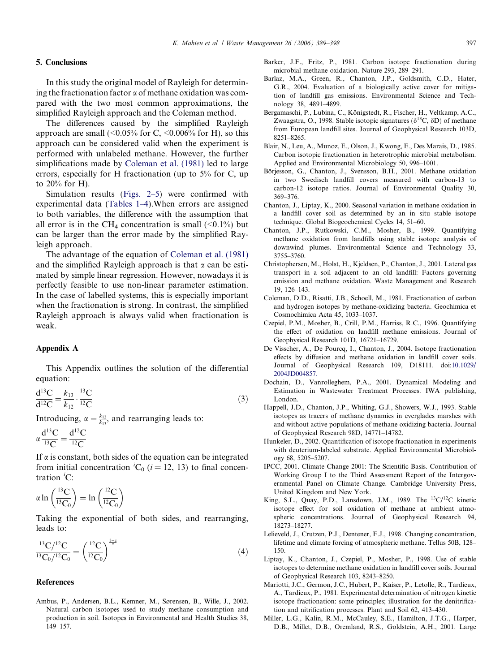## <span id="page-8-0"></span>5. Conclusions

In this study the original model of Rayleigh for determining the fractionation factor  $\alpha$  of methane oxidation was compared with the two most common approximations, the simplified Rayleigh approach and the Coleman method.

The differences caused by the simplified Rayleigh approach are small (<0.05% for C, <0.006% for H), so this approach can be considered valid when the experiment is performed with unlabeled methane. However, the further simplifications made by Coleman et al. (1981) led to large errors, especially for H fractionation (up to 5% for C, up to 20% for H).

Simulation results ([Figs. 2–5](#page-4-0)) were confirmed with experimental data [\(Tables 1–4](#page-5-0)).When errors are assigned to both variables, the difference with the assumption that all error is in the CH<sub>4</sub> concentration is small  $(\leq 0.1\%)$  but can be larger than the error made by the simplified Rayleigh approach.

The advantage of the equation of Coleman et al. (1981) and the simplified Rayleigh approach is that  $\alpha$  can be estimated by simple linear regression. However, nowadays it is perfectly feasible to use non-linear parameter estimation. In the case of labelled systems, this is especially important when the fractionation is strong. In contrast, the simplified Rayleigh approach is always valid when fractionation is weak.

## Appendix A

This Appendix outlines the solution of the differential equation:

 $\frac{d^{13}C}{d^{12}C} = \frac{k_{13}}{k_{12}} \cdot \frac{^{13}C}{^{12}C}$  $\frac{12}{12}$  (3)

Introducing,  $\alpha = \frac{k_{12}}{k_{13}}$ , and rearranging leads to:

$$
\alpha \frac{d^{13}C}{^{13}C} = \frac{d^{12}C}{^{12}C}
$$

If  $\alpha$  is constant, both sides of the equation can be integrated from initial concentration <sup>*i*</sup>C<sub>0</sub> (*i* = 12, 13) to final concentration  ${}^{i}C$ :

$$
\alpha \ln \left( \frac{^{13}C}{^{13}C_0} \right) = \ln \left( \frac{^{12}C}{^{12}C_0} \right)
$$

Taking the exponential of both sides, and rearranging, leads to:

$$
\frac{{}^{13}C/{}^{12}C}{{}^{13}C_0/{}^{12}C_0} = \left(\frac{{}^{12}C}{{}^{12}C_0}\right)^{\frac{1-x}{\alpha}}
$$
(4)

# References

Ambus, P., Andersen, B.L., Kemner, M., Sørensen, B., Wille, J., 2002. Natural carbon isotopes used to study methane consumption and production in soil. Isotopes in Environmental and Health Studies 38, 149–157.

- Barker, J.F., Fritz, P., 1981. Carbon isotope fractionation during microbial methane oxidation. Nature 293, 289–291.
- Barlaz, M.A., Green, R., Chanton, J.P., Goldsmith, C.D., Hater, G.R., 2004. Evaluation of a biologically active cover for mitigation of landfill gas emissions. Environmental Science and Technology 38, 4891–4899.
- Bergamaschi, P., Lubina, C., Königstedt, R., Fischer, H., Veltkamp, A.C., Zwaagstra, O., 1998. Stable isotopic signatures ( $\delta^{13}C$ ,  $\delta D$ ) of methane from European landfill sites. Journal of Geophysical Research 103D, 8251–8265.
- Blair, N., Leu, A., Munoz, E., Olson, J., Kwong, E., Des Marais, D., 1985. Carbon isotopic fractionation in heterotrophic microbial metabolism. Applied and Environmental Microbiology 50, 996–1001.
- Börjesson, G., Chanton, J., Svensson, B.H., 2001. Methane oxidation in two Swedisch landfill covers measured with carbon-13 to carbon-12 isotope ratios. Journal of Environmental Quality 30, 369–376.
- Chanton, J., Liptay, K., 2000. Seasonal variation in methane oxidation in a landfill cover soil as determined by an in situ stable isotope technique. Global Biogeochemical Cycles 14, 51–60.
- Chanton, J.P., Rutkowski, C.M., Mosher, B., 1999. Quantifying methane oxidation from landfills using stable isotope analysis of downwind plumes. Environmental Science and Technology 33, 3755–3760.
- Christophersen, M., Holst, H., Kjeldsen, P., Chanton, J., 2001. Lateral gas transport in a soil adjacent to an old landfill: Factors governing emission and methane oxidation. Waste Management and Research 19, 126–143.
- Coleman, D.D., Risatti, J.B., Schoell, M., 1981. Fractionation of carbon and hydrogen isotopes by methane-oxidizing bacteria. Geochimica et Cosmochimica Acta 45, 1033–1037.
- Czepiel, P.M., Mosher, B., Crill, P.M., Harriss, R.C., 1996. Quantifying the effect of oxidation on landfill methane emissions. Journal of Geophysical Research 101D, 16721–16729.
- De Visscher, A., De Pourcq, I., Chanton, J., 2004. Isotope fractionation effects by diffusion and methane oxidation in landfill cover soils. Journal of Geophysical Research 109, D18111. doi:[10.1029/](http://dx.doi.org/10.1029/2004JD004857) [2004JD004857.](http://dx.doi.org/10.1029/2004JD004857)
- Dochain, D., Vanrolleghem, P.A., 2001. Dynamical Modeling and Estimation in Wastewater Treatment Processes. IWA publishing, London.
- Happell, J.D., Chanton, J.P., Whiting, G.J., Showers, W.J., 1993. Stable isotopes as tracers of methane dynamics in everglades marshes with and without active populations of methane oxidizing bacteria. Journal of Geophysical Research 98D, 14771–14782.
- Hunkeler, D., 2002. Quantification of isotope fractionation in experiments with deuterium-labeled substrate. Applied Environmental Microbiology 68, 5205–5207.
- IPCC, 2001. Climate Change 2001: The Scientific Basis. Contribution of Working Group I to the Third Assessment Report of the Intergovernmental Panel on Climate Change. Cambridge University Press, United Kingdom and New York.
- King, S.L., Quay, P.D., Lansdown, J.M., 1989. The <sup>13</sup>C/<sup>12</sup>C kinetic isotope effect for soil oxidation of methane at ambient atmospheric concentrations. Journal of Geophysical Research 94, 18273–18277.
- Lelieveld, J., Crutzen, P.J., Dentener, F.J., 1998. Changing concentration, lifetime and climate forcing of atmospheric methane. Tellus 50B, 128– 150.
- Liptay, K., Chanton, J., Czepiel, P., Mosher, P., 1998. Use of stable isotopes to determine methane oxidation in landfill cover soils. Journal of Geophysical Research 103, 8243–8250.
- Mariotti, J.C., Germon, J.C., Hubert, P., Kaiser, P., Letolle, R., Tardieux, A., Tardieux, P., 1981. Experimental determination of nitrogen kinetic isotope fractionation: some principles; illustration for the denitrification and nitrification processes. Plant and Soil 62, 413–430.
- Miller, L.G., Kalin, R.M., McCauley, S.E., Hamilton, J.T.G., Harper, D.B., Millet, D.B., Oremland, R.S., Goldstein, A.H., 2001. Large